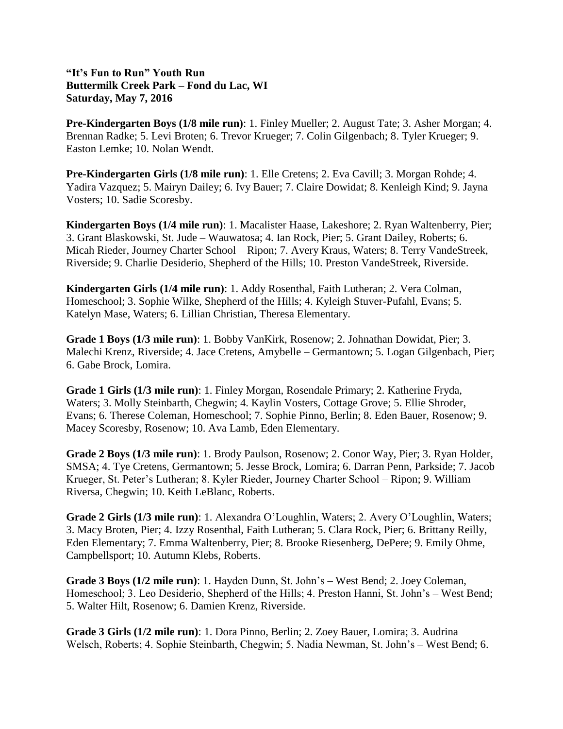## **"It's Fun to Run" Youth Run Buttermilk Creek Park – Fond du Lac, WI Saturday, May 7, 2016**

**Pre-Kindergarten Boys (1/8 mile run)**: 1. Finley Mueller; 2. August Tate; 3. Asher Morgan; 4. Brennan Radke; 5. Levi Broten; 6. Trevor Krueger; 7. Colin Gilgenbach; 8. Tyler Krueger; 9. Easton Lemke; 10. Nolan Wendt.

**Pre-Kindergarten Girls (1/8 mile run)**: 1. Elle Cretens; 2. Eva Cavill; 3. Morgan Rohde; 4. Yadira Vazquez; 5. Mairyn Dailey; 6. Ivy Bauer; 7. Claire Dowidat; 8. Kenleigh Kind; 9. Jayna Vosters; 10. Sadie Scoresby.

**Kindergarten Boys (1/4 mile run)**: 1. Macalister Haase, Lakeshore; 2. Ryan Waltenberry, Pier; 3. Grant Blaskowski, St. Jude – Wauwatosa; 4. Ian Rock, Pier; 5. Grant Dailey, Roberts; 6. Micah Rieder, Journey Charter School – Ripon; 7. Avery Kraus, Waters; 8. Terry VandeStreek, Riverside; 9. Charlie Desiderio, Shepherd of the Hills; 10. Preston VandeStreek, Riverside.

**Kindergarten Girls (1/4 mile run)**: 1. Addy Rosenthal, Faith Lutheran; 2. Vera Colman, Homeschool; 3. Sophie Wilke, Shepherd of the Hills; 4. Kyleigh Stuver-Pufahl, Evans; 5. Katelyn Mase, Waters; 6. Lillian Christian, Theresa Elementary.

**Grade 1 Boys (1/3 mile run)**: 1. Bobby VanKirk, Rosenow; 2. Johnathan Dowidat, Pier; 3. Malechi Krenz, Riverside; 4. Jace Cretens, Amybelle – Germantown; 5. Logan Gilgenbach, Pier; 6. Gabe Brock, Lomira.

**Grade 1 Girls (1/3 mile run)**: 1. Finley Morgan, Rosendale Primary; 2. Katherine Fryda, Waters; 3. Molly Steinbarth, Chegwin; 4. Kaylin Vosters, Cottage Grove; 5. Ellie Shroder, Evans; 6. Therese Coleman, Homeschool; 7. Sophie Pinno, Berlin; 8. Eden Bauer, Rosenow; 9. Macey Scoresby, Rosenow; 10. Ava Lamb, Eden Elementary.

**Grade 2 Boys (1/3 mile run)**: 1. Brody Paulson, Rosenow; 2. Conor Way, Pier; 3. Ryan Holder, SMSA; 4. Tye Cretens, Germantown; 5. Jesse Brock, Lomira; 6. Darran Penn, Parkside; 7. Jacob Krueger, St. Peter's Lutheran; 8. Kyler Rieder, Journey Charter School – Ripon; 9. William Riversa, Chegwin; 10. Keith LeBlanc, Roberts.

**Grade 2 Girls (1/3 mile run)**: 1. Alexandra O'Loughlin, Waters; 2. Avery O'Loughlin, Waters; 3. Macy Broten, Pier; 4. Izzy Rosenthal, Faith Lutheran; 5. Clara Rock, Pier; 6. Brittany Reilly, Eden Elementary; 7. Emma Waltenberry, Pier; 8. Brooke Riesenberg, DePere; 9. Emily Ohme, Campbellsport; 10. Autumn Klebs, Roberts.

**Grade 3 Boys (1/2 mile run)**: 1. Hayden Dunn, St. John's – West Bend; 2. Joey Coleman, Homeschool; 3. Leo Desiderio, Shepherd of the Hills; 4. Preston Hanni, St. John's – West Bend; 5. Walter Hilt, Rosenow; 6. Damien Krenz, Riverside.

**Grade 3 Girls (1/2 mile run)**: 1. Dora Pinno, Berlin; 2. Zoey Bauer, Lomira; 3. Audrina Welsch, Roberts; 4. Sophie Steinbarth, Chegwin; 5. Nadia Newman, St. John's – West Bend; 6.